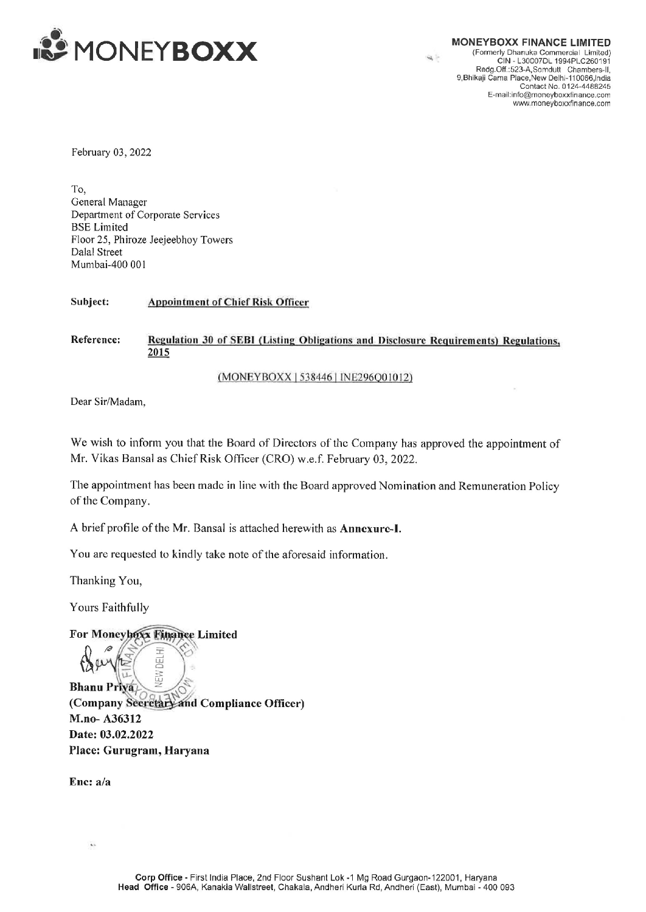

CIN - L30007DL 1994PLC260191 Redg.Off.:523-A,Samdutl Chambers-ll, 9,Bhikaji Cama Place,New Delhi-110066, India Contact No. 0124-4488245 E-mail:info@moneyboxxfinance.com www. moneyboxxfinance.com

February 03, 2022

To, General Manager Department of Corporate Services BSE Limited Floor 25, Phiroze Jeejeebhoy Towers Dalal Street Mumbai-400 001 2<br>prporate Services<br>Jeejeebhoy Tower<br>Appointment of C

Subject: Appointment of Chief Risk Officer

## 2015 s<br>f Chief Risk Officer<br>of SEBI (Listing Obl<br>(MONEYBOXX | 538 Reference: Regulation 30 of SEBI (Listing Obligations and Disclosure Requirements) Regulations

(MONEYBOXX | 538446 | INE296001012)

Dear Sir/Madam,

We wish to inform you that the Board of Directors of the Company has approved the appointment of Mr. Vikas Bansal as Chief Risk Officer (CRO) w.e.f. February 03, 2022.

The appointment has been made in line with the Board approved Nomination and Remuneration Policy of the Company.

A brief profile of the Mr, Bansal is attached herewith as Annexurc-I.

You are requested to kindly take note of the aforesaid information.

Thanking You,

Yours Faithfully

## For Moneyhoxx Finance Limited

 $\mathbb{Z}$  or  $\mathbb{Z}$  = Bhanu Priya (Company Secretary and Compliance Officer) M.no- A36312 Date: 03.02.2022  $\begin{array}{r} \bigoplus \text{min} \ \text{sum} \ \text{Bhanu Prya} \ \text{(Company) } \ \text{Sereteal-And C} \ \text{M.no- A36312} \ \text{Date: } 03.02.2022 \ \text{Place: Gurugram, Harvana} \end{array}$  $\mu$ **IEW DEL** 

Ene: a/a

ī.